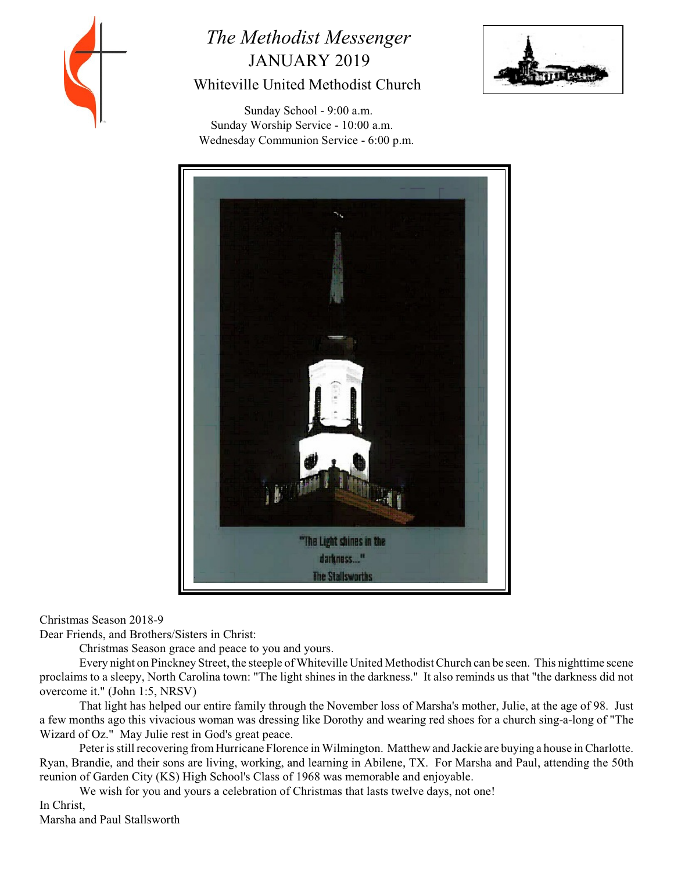

# *The Methodist Messenger* JANUARY 2019 Whiteville United Methodist Church



 Sunday School - 9:00 a.m. Sunday Worship Service - 10:00 a.m. Wednesday Communion Service - 6:00 p.m.



Christmas Season 2018-9

Dear Friends, and Brothers/Sisters in Christ:

Christmas Season grace and peace to you and yours.

Every night on Pinckney Street, the steeple of Whiteville United Methodist Church can be seen. This nighttime scene proclaims to a sleepy, North Carolina town: "The light shines in the darkness." It also reminds us that "the darkness did not overcome it." (John 1:5, NRSV)

That light has helped our entire family through the November loss of Marsha's mother, Julie, at the age of 98. Just a few months ago this vivacious woman was dressing like Dorothy and wearing red shoes for a church sing-a-long of "The Wizard of Oz." May Julie rest in God's great peace.

Peterisstill recovering fromHurricane Florence in Wilmington. Matthew and Jackie are buying a house in Charlotte. Ryan, Brandie, and their sons are living, working, and learning in Abilene, TX. For Marsha and Paul, attending the 50th reunion of Garden City (KS) High School's Class of 1968 was memorable and enjoyable.

We wish for you and yours a celebration of Christmas that lasts twelve days, not one!

In Christ,

Marsha and Paul Stallsworth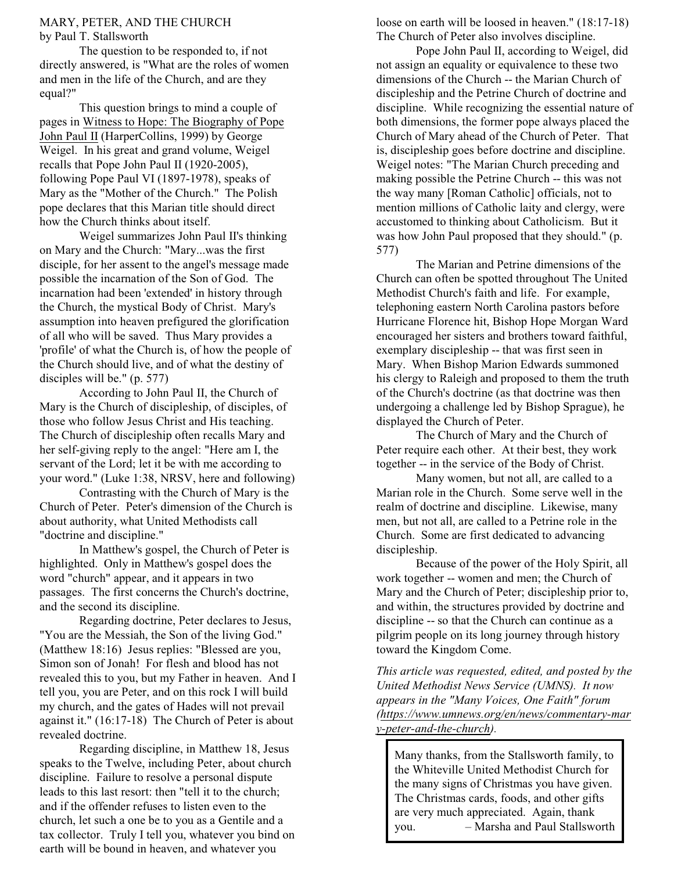#### MARY, PETER, AND THE CHURCH by Paul T. Stallsworth

The question to be responded to, if not directly answered, is "What are the roles of women and men in the life of the Church, and are they equal?"

This question brings to mind a couple of pages in Witness to Hope: The Biography of Pope John Paul II (HarperCollins, 1999) by George Weigel. In his great and grand volume, Weigel recalls that Pope John Paul II (1920-2005), following Pope Paul VI (1897-1978), speaks of Mary as the "Mother of the Church." The Polish pope declares that this Marian title should direct how the Church thinks about itself.

Weigel summarizes John Paul II's thinking on Mary and the Church: "Mary...was the first disciple, for her assent to the angel's message made possible the incarnation of the Son of God. The incarnation had been 'extended' in history through the Church, the mystical Body of Christ. Mary's assumption into heaven prefigured the glorification of all who will be saved. Thus Mary provides a 'profile' of what the Church is, of how the people of the Church should live, and of what the destiny of disciples will be." (p. 577)

According to John Paul II, the Church of Mary is the Church of discipleship, of disciples, of those who follow Jesus Christ and His teaching. The Church of discipleship often recalls Mary and her self-giving reply to the angel: "Here am I, the servant of the Lord; let it be with me according to your word." (Luke 1:38, NRSV, here and following)

Contrasting with the Church of Mary is the Church of Peter. Peter's dimension of the Church is about authority, what United Methodists call "doctrine and discipline."

In Matthew's gospel, the Church of Peter is highlighted. Only in Matthew's gospel does the word "church" appear, and it appears in two passages. The first concerns the Church's doctrine, and the second its discipline.

Regarding doctrine, Peter declares to Jesus, "You are the Messiah, the Son of the living God." (Matthew 18:16) Jesus replies: "Blessed are you, Simon son of Jonah! For flesh and blood has not revealed this to you, but my Father in heaven. And I tell you, you are Peter, and on this rock I will build my church, and the gates of Hades will not prevail against it." (16:17-18) The Church of Peter is about revealed doctrine.

Regarding discipline, in Matthew 18, Jesus speaks to the Twelve, including Peter, about church discipline. Failure to resolve a personal dispute leads to this last resort: then "tell it to the church; and if the offender refuses to listen even to the church, let such a one be to you as a Gentile and a tax collector. Truly I tell you, whatever you bind on earth will be bound in heaven, and whatever you

loose on earth will be loosed in heaven." (18:17-18) The Church of Peter also involves discipline.

Pope John Paul II, according to Weigel, did not assign an equality or equivalence to these two dimensions of the Church -- the Marian Church of discipleship and the Petrine Church of doctrine and discipline. While recognizing the essential nature of both dimensions, the former pope always placed the Church of Mary ahead of the Church of Peter. That is, discipleship goes before doctrine and discipline. Weigel notes: "The Marian Church preceding and making possible the Petrine Church -- this was not the way many [Roman Catholic] officials, not to mention millions of Catholic laity and clergy, were accustomed to thinking about Catholicism. But it was how John Paul proposed that they should." (p. 577)

The Marian and Petrine dimensions of the Church can often be spotted throughout The United Methodist Church's faith and life. For example, telephoning eastern North Carolina pastors before Hurricane Florence hit, Bishop Hope Morgan Ward encouraged her sisters and brothers toward faithful, exemplary discipleship -- that was first seen in Mary. When Bishop Marion Edwards summoned his clergy to Raleigh and proposed to them the truth of the Church's doctrine (as that doctrine was then undergoing a challenge led by Bishop Sprague), he displayed the Church of Peter.

The Church of Mary and the Church of Peter require each other. At their best, they work together -- in the service of the Body of Christ.

Many women, but not all, are called to a Marian role in the Church. Some serve well in the realm of doctrine and discipline. Likewise, many men, but not all, are called to a Petrine role in the Church. Some are first dedicated to advancing discipleship.

Because of the power of the Holy Spirit, all work together -- women and men; the Church of Mary and the Church of Peter; discipleship prior to, and within, the structures provided by doctrine and discipline -- so that the Church can continue as a pilgrim people on its long journey through history toward the Kingdom Come.

*This article was requested, edited, and posted by the United Methodist News Service (UMNS). It now appears in the "Many Voices, One Faith" forum (https://www.umnews.org/en/news/commentary-mar y-peter-and-the-church).*

Many thanks, from the Stallsworth family, to the Whiteville United Methodist Church for the many signs of Christmas you have given. The Christmas cards, foods, and other gifts are very much appreciated. Again, thank you. – Marsha and Paul Stallsworth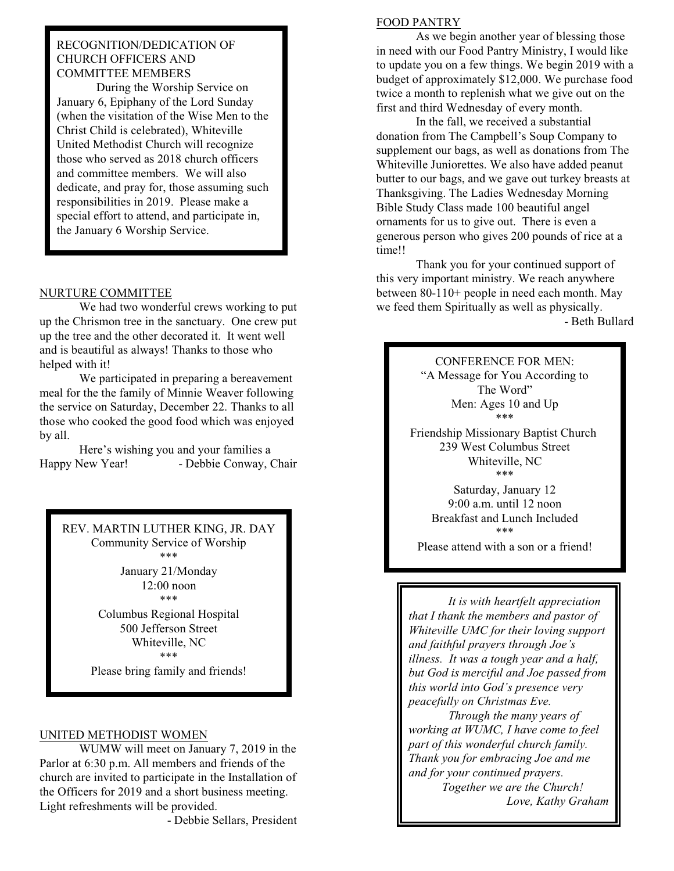# RECOGNITION/DEDICATION OF CHURCH OFFICERS AND COMMITTEE MEMBERS

During the Worship Service on January 6, Epiphany of the Lord Sunday (when the visitation of the Wise Men to the Christ Child is celebrated), Whiteville United Methodist Church will recognize those who served as 2018 church officers and committee members. We will also dedicate, and pray for, those assuming such responsibilities in 2019. Please make a special effort to attend, and participate in, the January 6 Worship Service.

## NURTURE COMMITTEE

We had two wonderful crews working to put up the Chrismon tree in the sanctuary. One crew put up the tree and the other decorated it. It went well and is beautiful as always! Thanks to those who helped with it!

We participated in preparing a bereavement meal for the the family of Minnie Weaver following the service on Saturday, December 22. Thanks to all those who cooked the good food which was enjoyed by all.

Here's wishing you and your families a Happy New Year! - Debbie Conway, Chair

REV. MARTIN LUTHER KING, JR. DAY Community Service of Worship \*\*\*

> January 21/Monday 12:00 noon

\*\*\*

Columbus Regional Hospital 500 Jefferson Street Whiteville, NC \*\*\*

Please bring family and friends!

### UNITED METHODIST WOMEN

WUMW will meet on January 7, 2019 in the Parlor at 6:30 p.m. All members and friends of the church are invited to participate in the Installation of the Officers for 2019 and a short business meeting. Light refreshments will be provided.

- Debbie Sellars, President

### FOOD PANTRY

As we begin another year of blessing those in need with our Food Pantry Ministry, I would like to update you on a few things. We begin 2019 with a budget of approximately \$12,000. We purchase food twice a month to replenish what we give out on the first and third Wednesday of every month.

In the fall, we received a substantial donation from The Campbell's Soup Company to supplement our bags, as well as donations from The Whiteville Juniorettes. We also have added peanut butter to our bags, and we gave out turkey breasts at Thanksgiving. The Ladies Wednesday Morning Bible Study Class made 100 beautiful angel ornaments for us to give out. There is even a generous person who gives 200 pounds of rice at a time!!

Thank you for your continued support of this very important ministry. We reach anywhere between 80-110+ people in need each month. May we feed them Spiritually as well as physically. - Beth Bullard

> CONFERENCE FOR MEN: "A Message for You According to The Word" Men: Ages 10 and Up \*\*\*

Friendship Missionary Baptist Church 239 West Columbus Street Whiteville, NC \*\*\*

> Saturday, January 12 9:00 a.m. until 12 noon Breakfast and Lunch Included \*\*\*

Please attend with a son or a friend!

*It is with heartfelt appreciation that I thank the members and pastor of Whiteville UMC for their loving support and faithful prayers through Joe's illness. It was a tough year and a half, but God is merciful and Joe passed from this world into God's presence very peacefully on Christmas Eve.*

*Through the many years of working at WUMC, I have come to feel part of this wonderful church family. Thank you for embracing Joe and me and for your continued prayers.* 

> *Together we are the Church! Love, Kathy Graham*